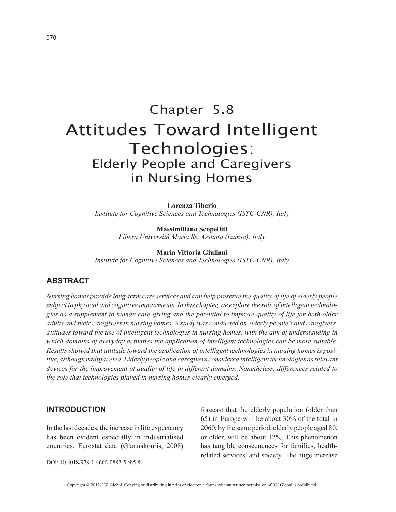# Chapter 5.8 Attitudes Toward Intelligent Technologies: Elderly People and Caregivers in Nursing Homes

**Lorenza Tiberio** *Institute for Cognitive Sciences and Technologies (ISTC-CNR), Italy*

> **Massimiliano Scopelliti** *Libera Università Maria Ss. Assunta (Lumsa), Italy*

**Maria Vittoria Giuliani** *Institute for Cognitive Sciences and Technologies (ISTC-CNR), Italy*

# **ABSTRACT**

*Nursing homes provide long-term care services and can help preserve the quality of life of elderly people subject to physical and cognitive impairments. In this chapter, we explore the role of intelligent technologies as a supplement to human care-giving and the potential to improve quality of life for both older adults and their caregivers in nursing homes. A study was conducted on elderly people's and caregivers' attitudes toward the use of intelligent technologies in nursing homes, with the aim of understanding in which domains of everyday activities the application of intelligent technologies can be more suitable. Results showed that attitude toward the application of intelligent technologies in nursing homes is positive, although multifaceted. Elderly people and caregivers considered intelligent technologies as relevant devices for the improvement of quality of life in different domains. Nonetheless, differences related to the role that technologies played in nursing homes clearly emerged.*

## **INTRODUCTION**

In the last decades, the increase in life expectancy has been evident especially in industrialised countries. Eurostat data (Giannakouris, 2008) forecast that the elderly population (older than 65) in Europe will be about 30% of the total in 2060; by the same period, elderly people aged 80, or older, will be about 12%. This phenomenon has tangible consequences for families, healthrelated services, and society. The huge increase

DOI: 10.4018/978-1-4666-0882-5.ch5.8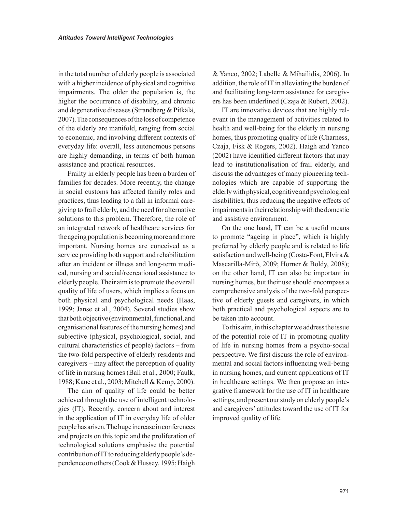in the total number of elderly people is associated with a higher incidence of physical and cognitive impairments. The older the population is, the higher the occurrence of disability, and chronic and degenerative diseases (Strandberg & Pitkälä, 2007). The consequences of the loss of competence of the elderly are manifold, ranging from social to economic, and involving different contexts of everyday life: overall, less autonomous persons are highly demanding, in terms of both human assistance and practical resources.

Frailty in elderly people has been a burden of families for decades. More recently, the change in social customs has affected family roles and practices, thus leading to a fall in informal caregiving to frail elderly, and the need for alternative solutions to this problem. Therefore, the role of an integrated network of healthcare services for the ageing population is becoming more and more important. Nursing homes are conceived as a service providing both support and rehabilitation after an incident or illness and long-term medical, nursing and social/recreational assistance to elderly people. Their aim is to promote the overall quality of life of users, which implies a focus on both physical and psychological needs (Haas, 1999; Janse et al., 2004). Several studies show that both objective (environmental, functional, and organisational features of the nursing homes) and subjective (physical, psychological, social, and cultural characteristics of people) factors – from the two-fold perspective of elderly residents and caregivers – may affect the perception of quality of life in nursing homes (Ball et al., 2000; Faulk, 1988; Kane et al., 2003; Mitchell & Kemp, 2000).

The aim of quality of life could be better achieved through the use of intelligent technologies (IT). Recently, concern about and interest in the application of IT in everyday life of older people has arisen. The huge increase in conferences and projects on this topic and the proliferation of technological solutions emphasise the potential contribution of IT to reducing elderly people's dependence on others (Cook & Hussey, 1995; Haigh

& Yanco, 2002; Labelle & Mihailidis, 2006). In addition, the role of IT in alleviating the burden of and facilitating long-term assistance for caregivers has been underlined (Czaja & Rubert, 2002).

IT are innovative devices that are highly relevant in the management of activities related to health and well-being for the elderly in nursing homes, thus promoting quality of life (Charness, Czaja, Fisk & Rogers, 2002). Haigh and Yanco (2002) have identified different factors that may lead to institutionalisation of frail elderly, and discuss the advantages of many pioneering technologies which are capable of supporting the elderly with physical, cognitive and psychological disabilities, thus reducing the negative effects of impairments in their relationship with the domestic and assistive environment.

On the one hand, IT can be a useful means to promote "ageing in place", which is highly preferred by elderly people and is related to life satisfaction and well-being (Costa-Font, Elvira & Mascarilla-Mirò, 2009; Horner & Boldy, 2008); on the other hand, IT can also be important in nursing homes, but their use should encompass a comprehensive analysis of the two-fold perspective of elderly guests and caregivers, in which both practical and psychological aspects are to be taken into account.

To this aim, in this chapter we address the issue of the potential role of IT in promoting quality of life in nursing homes from a psycho-social perspective. We first discuss the role of environmental and social factors influencing well-being in nursing homes, and current applications of IT in healthcare settings. We then propose an integrative framework for the use of IT in healthcare settings, and present our study on elderly people's and caregivers' attitudes toward the use of IT for improved quality of life.